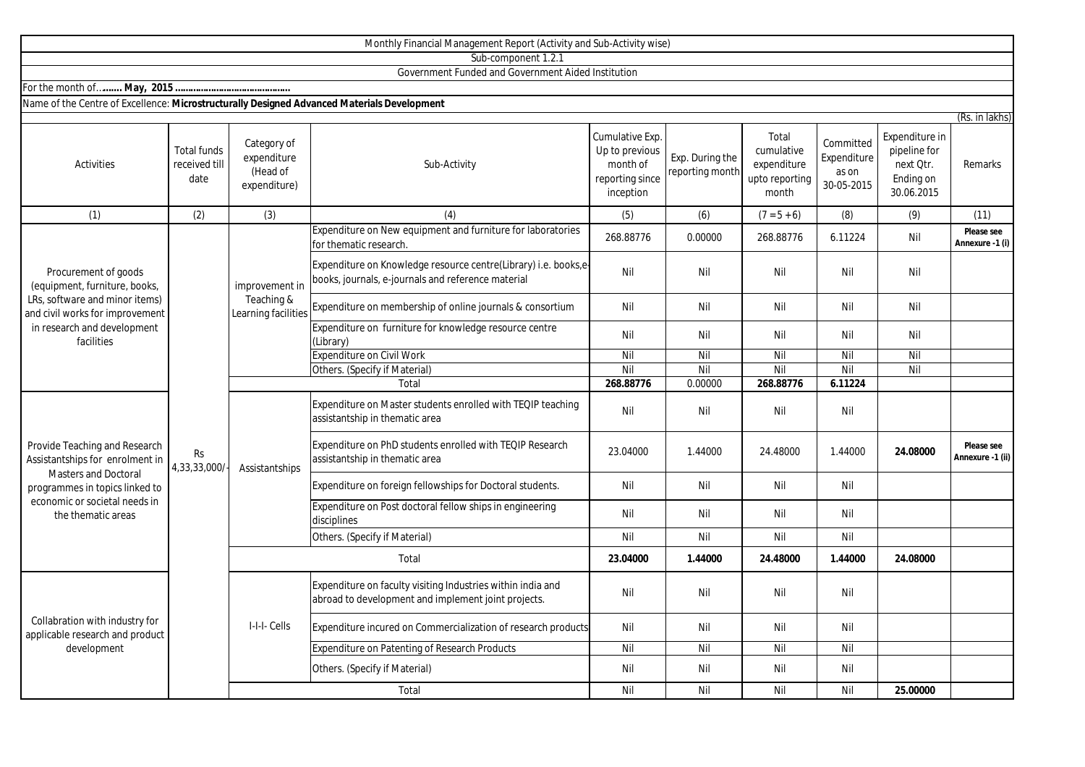|                                                                                                                                                                                          |                                             |                                                        | Monthly Financial Management Report (Activity and Sub-Activity wise)                                                 |                                                                               |                                    |                                                               |                                                 |                                                                        |                                |
|------------------------------------------------------------------------------------------------------------------------------------------------------------------------------------------|---------------------------------------------|--------------------------------------------------------|----------------------------------------------------------------------------------------------------------------------|-------------------------------------------------------------------------------|------------------------------------|---------------------------------------------------------------|-------------------------------------------------|------------------------------------------------------------------------|--------------------------------|
|                                                                                                                                                                                          |                                             |                                                        | Sub-component 1.2.1                                                                                                  |                                                                               |                                    |                                                               |                                                 |                                                                        |                                |
|                                                                                                                                                                                          |                                             |                                                        | Government Funded and Government Aided Institution                                                                   |                                                                               |                                    |                                                               |                                                 |                                                                        |                                |
|                                                                                                                                                                                          |                                             |                                                        |                                                                                                                      |                                                                               |                                    |                                                               |                                                 |                                                                        |                                |
| Name of the Centre of Excellence: Microstructurally Designed Advanced Materials Development                                                                                              |                                             |                                                        |                                                                                                                      |                                                                               |                                    |                                                               |                                                 |                                                                        |                                |
|                                                                                                                                                                                          |                                             |                                                        |                                                                                                                      |                                                                               |                                    |                                                               |                                                 |                                                                        | (Rs. in lakhs)                 |
| <b>Activities</b>                                                                                                                                                                        | <b>Total funds</b><br>received till<br>date | Category of<br>expenditure<br>(Head of<br>expenditure) | Sub-Activity                                                                                                         | Cumulative Exp.<br>Up to previous<br>month of<br>reporting since<br>inception | Exp. During the<br>reporting month | Total<br>cumulative<br>expenditure<br>upto reporting<br>month | Committed<br>Expenditure<br>as on<br>30-05-2015 | Expenditure in<br>pipeline for<br>next Qtr.<br>Ending on<br>30.06.2015 | Remarks                        |
| (1)                                                                                                                                                                                      | (2)                                         | (3)                                                    | (4)                                                                                                                  | (5)                                                                           | (6)                                | $(7 = 5 + 6)$                                                 | (8)                                             | (9)                                                                    | (11)                           |
| Procurement of goods<br>(equipment, furniture, books,<br>LRs, software and minor items)<br>and civil works for improvement<br>in research and development<br>facilities                  | <b>Rs</b><br>4,33,33,000/                   | improvement in<br>Teaching &<br>Learning facilities    | Expenditure on New equipment and furniture for laboratories<br>for thematic research                                 | 268.88776                                                                     | 0.00000                            | 268.88776                                                     | 6.11224                                         | Nil                                                                    | Please see<br>Annexure -1 (i)  |
|                                                                                                                                                                                          |                                             |                                                        | Expenditure on Knowledge resource centre(Library) i.e. books,e<br>books, journals, e-journals and reference material | Nil                                                                           | Nil                                | Nil                                                           | Nil                                             | Nil                                                                    |                                |
|                                                                                                                                                                                          |                                             |                                                        | Expenditure on membership of online journals & consortium                                                            | Nil                                                                           | Nil                                | Nil                                                           | Nil                                             | Nil                                                                    |                                |
|                                                                                                                                                                                          |                                             |                                                        | Expenditure on furniture for knowledge resource centre<br>(Library)                                                  | Nil                                                                           | Nil                                | Nil                                                           | Nil                                             | Nil                                                                    |                                |
|                                                                                                                                                                                          |                                             |                                                        | <b>Expenditure on Civil Work</b>                                                                                     | Nil                                                                           | Nil                                | Nil                                                           | Nil                                             | Nil                                                                    |                                |
|                                                                                                                                                                                          |                                             |                                                        | Others. (Specify if Material)                                                                                        | Nil                                                                           | Nil                                | Nil                                                           | Nil                                             | Nil                                                                    |                                |
|                                                                                                                                                                                          |                                             |                                                        | Total                                                                                                                | 268.88776                                                                     | 0.00000                            | 268.88776                                                     | 6.11224                                         |                                                                        |                                |
| Provide Teaching and Research<br>Assistantships for enrolment in<br><b>Masters and Doctoral</b><br>programmes in topics linked to<br>economic or societal needs in<br>the thematic areas |                                             | Assistantships                                         | Expenditure on Master students enrolled with TEQIP teaching<br>assistantship in thematic area                        | Nil                                                                           | Nil                                | Nil                                                           | Nil                                             |                                                                        |                                |
|                                                                                                                                                                                          |                                             |                                                        | Expenditure on PhD students enrolled with TEQIP Research<br>assistantship in thematic area                           | 23.04000                                                                      | 1.44000                            | 24.48000                                                      | 1.44000                                         | 24.08000                                                               | Please see<br>Annexure -1 (ii) |
|                                                                                                                                                                                          |                                             |                                                        | Expenditure on foreign fellowships for Doctoral students.                                                            | Nil                                                                           | Nil                                | Nil                                                           | Nil                                             |                                                                        |                                |
|                                                                                                                                                                                          |                                             |                                                        | Expenditure on Post doctoral fellow ships in engineering<br>disciplines                                              | Nil                                                                           | Nil                                | Nil                                                           | Nil                                             |                                                                        |                                |
|                                                                                                                                                                                          |                                             |                                                        | Others. (Specify if Material)                                                                                        | Nil                                                                           | Nil                                | Nil                                                           | Nil                                             |                                                                        |                                |
|                                                                                                                                                                                          |                                             | Total                                                  |                                                                                                                      | 23.04000                                                                      | 1.44000                            | 24.48000                                                      | 1.44000                                         | 24.08000                                                               |                                |
| Collabration with industry for<br>applicable research and product<br>development                                                                                                         |                                             | I-I-I- Cells                                           | Expenditure on faculty visiting Industries within india and<br>abroad to development and implement joint projects.   | Nil                                                                           | Nil                                | Nil                                                           | Nil                                             |                                                                        |                                |
|                                                                                                                                                                                          |                                             |                                                        | Expenditure incured on Commercialization of research products                                                        | Nil                                                                           | Nil                                | Nil                                                           | Nil                                             |                                                                        |                                |
|                                                                                                                                                                                          |                                             |                                                        | Expenditure on Patenting of Research Products                                                                        | Nil                                                                           | Nil                                | Nil                                                           | Nil                                             |                                                                        |                                |
|                                                                                                                                                                                          |                                             |                                                        | Others. (Specify if Material)                                                                                        | Nil                                                                           | Nil                                | Nil                                                           | Nil                                             |                                                                        |                                |
|                                                                                                                                                                                          |                                             |                                                        | Total                                                                                                                | Nil                                                                           | Nil                                | Nil                                                           | Nil                                             | 25.00000                                                               |                                |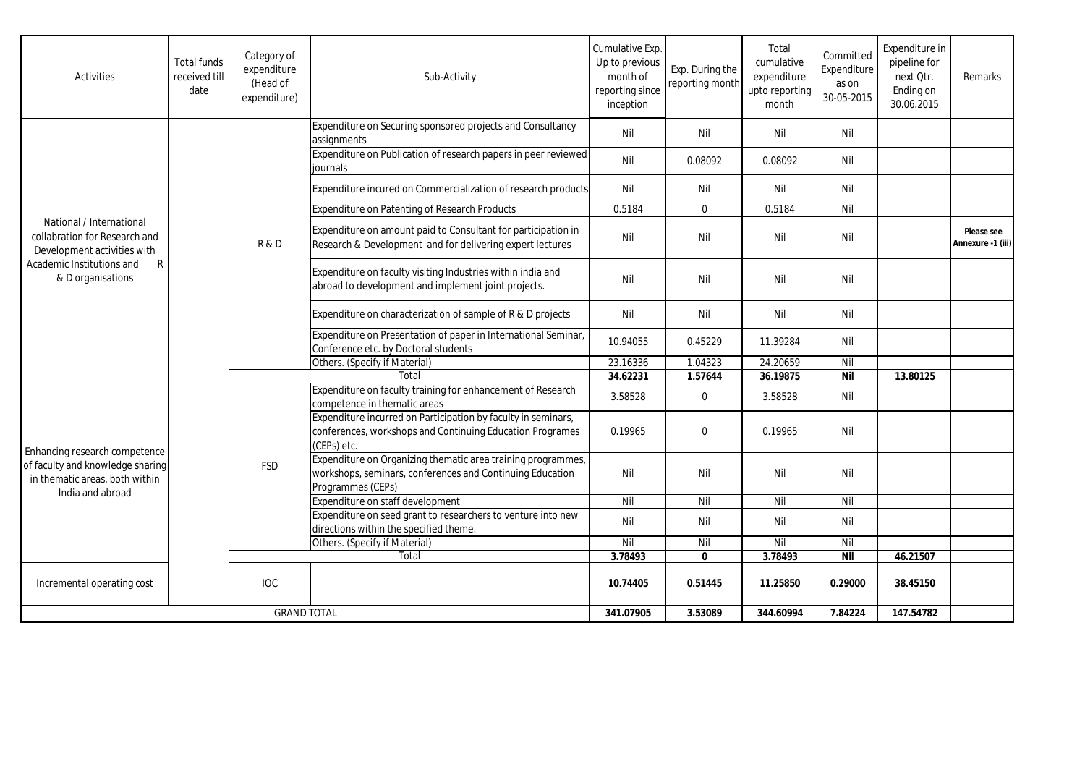| <b>Activities</b>                                                                                                                               | <b>Total funds</b><br>received till<br>date | Category of<br>expenditure<br>(Head of<br>expenditure) | Sub-Activity                                                                                                                                   | Cumulative Exp.<br>Up to previous<br>month of<br>reporting since<br>inception | Exp. During the<br>reporting month | Total<br>cumulative<br>expenditure<br>upto reporting<br>month | Committed<br>Expenditure<br>as on<br>30-05-2015 | Expenditure in<br>pipeline for<br>next Otr.<br>Ending on<br>30.06.2015 | Remarks                         |
|-------------------------------------------------------------------------------------------------------------------------------------------------|---------------------------------------------|--------------------------------------------------------|------------------------------------------------------------------------------------------------------------------------------------------------|-------------------------------------------------------------------------------|------------------------------------|---------------------------------------------------------------|-------------------------------------------------|------------------------------------------------------------------------|---------------------------------|
| National / International<br>collabration for Research and<br>Development activities with<br>Academic Institutions and<br>R<br>& D organisations |                                             | R&D                                                    | Expenditure on Securing sponsored projects and Consultancy<br>assignments                                                                      | Nil                                                                           | Nil                                | Nil                                                           | Nil                                             |                                                                        |                                 |
|                                                                                                                                                 |                                             |                                                        | Expenditure on Publication of research papers in peer reviewed<br>iournals                                                                     | Nil                                                                           | 0.08092                            | 0.08092                                                       | Nil                                             |                                                                        |                                 |
|                                                                                                                                                 |                                             |                                                        | Expenditure incured on Commercialization of research products                                                                                  | Nil                                                                           | Nil                                | Nil                                                           | Nil                                             |                                                                        |                                 |
|                                                                                                                                                 |                                             |                                                        | <b>Expenditure on Patenting of Research Products</b>                                                                                           | 0.5184                                                                        | $\mathbf 0$                        | 0.5184                                                        | Nil                                             |                                                                        |                                 |
|                                                                                                                                                 |                                             |                                                        | Expenditure on amount paid to Consultant for participation in<br>Research & Development and for delivering expert lectures                     | Nil                                                                           | Nil                                | Nil                                                           | Nil                                             |                                                                        | Please see<br>Annexure -1 (iii) |
|                                                                                                                                                 |                                             |                                                        | Expenditure on faculty visiting Industries within india and<br>abroad to development and implement joint projects.                             | Nil                                                                           | Nil                                | Nil                                                           | Nil                                             |                                                                        |                                 |
|                                                                                                                                                 |                                             |                                                        | Expenditure on characterization of sample of R & D projects                                                                                    | Nil                                                                           | Nil                                | Nil                                                           | Nil                                             |                                                                        |                                 |
|                                                                                                                                                 |                                             |                                                        | Expenditure on Presentation of paper in International Seminar,<br>Conference etc. by Doctoral students                                         | 10.94055                                                                      | 0.45229                            | 11.39284                                                      | Nil                                             |                                                                        |                                 |
|                                                                                                                                                 |                                             |                                                        | Others. (Specify if Material)                                                                                                                  | 23.16336                                                                      | 1.04323                            | 24.20659                                                      | Nil                                             |                                                                        |                                 |
|                                                                                                                                                 |                                             |                                                        | Total                                                                                                                                          | 34.62231                                                                      | 1.57644                            | 36.19875                                                      | <b>Nil</b>                                      | 13.80125                                                               |                                 |
| Enhancing research competence<br>of faculty and knowledge sharing<br>in thematic areas, both within<br>India and abroad                         |                                             | <b>FSD</b>                                             | Expenditure on faculty training for enhancement of Research<br>competence in thematic areas                                                    | 3.58528                                                                       | $\pmb{0}$                          | 3.58528                                                       | Nil                                             |                                                                        |                                 |
|                                                                                                                                                 |                                             |                                                        | Expenditure incurred on Participation by faculty in seminars,<br>conferences, workshops and Continuing Education Programes<br>(CEPs) etc.      | 0.19965                                                                       | $\Omega$                           | 0.19965                                                       | Nil                                             |                                                                        |                                 |
|                                                                                                                                                 |                                             |                                                        | Expenditure on Organizing thematic area training programmes,<br>workshops, seminars, conferences and Continuing Education<br>Programmes (CEPs) | Nil                                                                           | Nil                                | Nil                                                           | Nil                                             |                                                                        |                                 |
|                                                                                                                                                 |                                             |                                                        | Expenditure on staff development                                                                                                               | Nil                                                                           | Nil                                | $\overline{N}$                                                | Nil                                             |                                                                        |                                 |
|                                                                                                                                                 |                                             |                                                        | Expenditure on seed grant to researchers to venture into new<br>directions within the specified theme.                                         | Nil                                                                           | Nil                                | Nil                                                           | Nil                                             |                                                                        |                                 |
|                                                                                                                                                 |                                             |                                                        | Others. (Specify if Material)                                                                                                                  | Nil                                                                           | Nil                                | Nil                                                           | Nil                                             |                                                                        |                                 |
|                                                                                                                                                 |                                             |                                                        | Total                                                                                                                                          | 3.78493                                                                       | $\mathbf{0}$                       | 3.78493                                                       | Nil                                             | 46.21507                                                               |                                 |
| Incremental operating cost                                                                                                                      |                                             | <b>IOC</b>                                             |                                                                                                                                                | 10.74405                                                                      | 0.51445                            | 11.25850                                                      | 0.29000                                         | 38.45150                                                               |                                 |
| <b>GRAND TOTAL</b>                                                                                                                              |                                             |                                                        | 341.07905                                                                                                                                      | 3.53089                                                                       | 344.60994                          | 7.84224                                                       | 147.54782                                       |                                                                        |                                 |